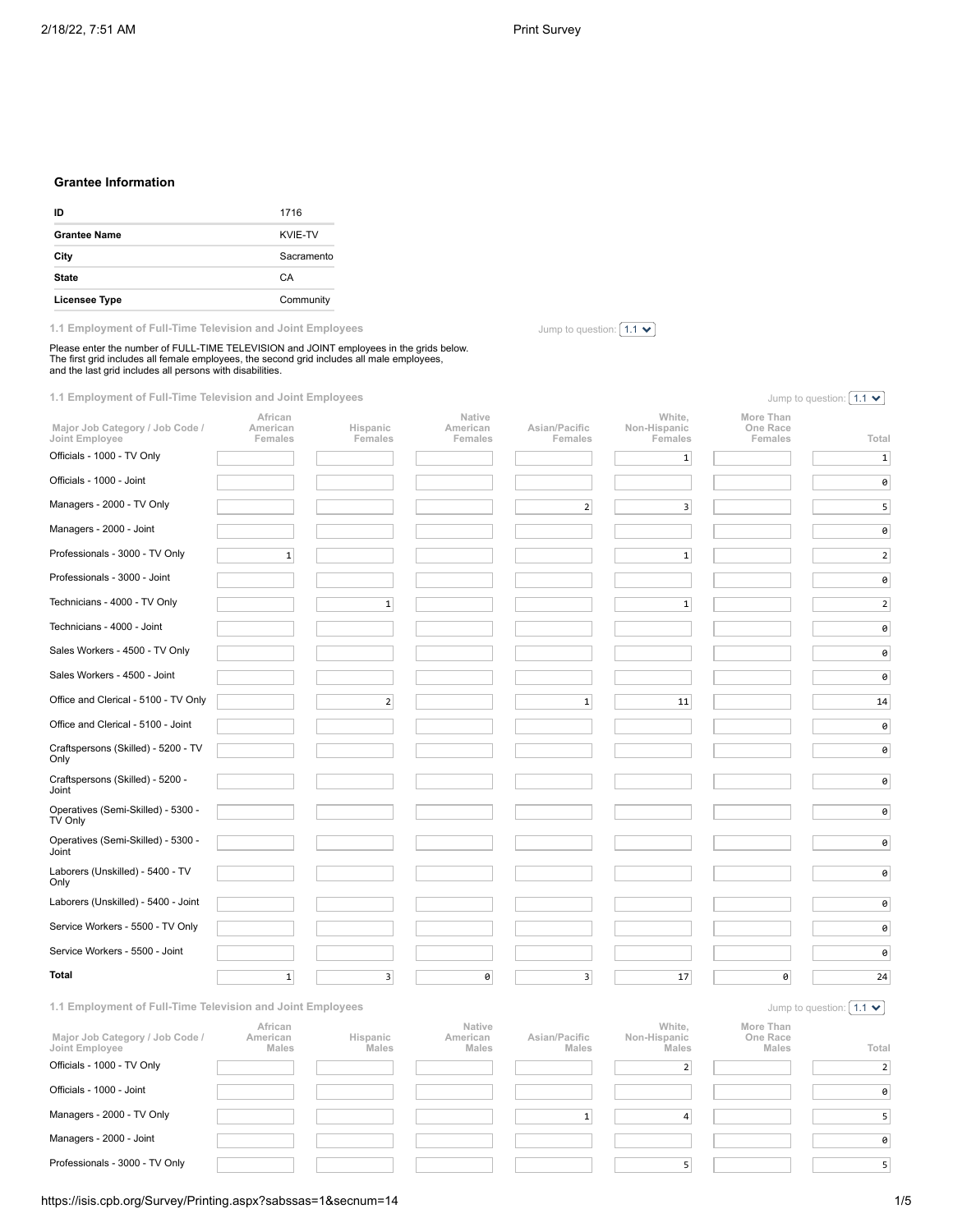## **Grantee Information**

| ID                  | 1716       |
|---------------------|------------|
| <b>Grantee Name</b> | KVIE-TV    |
| City                | Sacramento |
| <b>State</b>        | CA         |
| Licensee Type       | Community  |

**1.1 Employment of Full-Time Television and Joint Employees**

Jump to question:  $\boxed{1.1 \blacktriangleright}$ 

Please enter the number of FULL-TIME TELEVISION and JOINT employees in the grids below.<br>The first grid includes all female employees, the second grid includes all male employees,<br>and the last grid includes all persons with **1.1 Employment of Full-Time Television and Joint Employees**

| Major Job Category / Job Code /<br>Joint Employee | African<br>American<br>Females | Hispanic<br>Females | Native<br>American<br>Females | Asian/Pacific<br>Females | White,<br>Non-Hispanic<br>Females | More Than<br>One Race<br>Females | Total          |
|---------------------------------------------------|--------------------------------|---------------------|-------------------------------|--------------------------|-----------------------------------|----------------------------------|----------------|
| Officials - 1000 - TV Only                        |                                |                     |                               |                          | $\mathbf 1$                       |                                  | $\mathbf 1$    |
| Officials - 1000 - Joint                          |                                |                     |                               |                          |                                   |                                  | 0              |
| Managers - 2000 - TV Only                         |                                |                     |                               | $\overline{2}$           | 3                                 |                                  | 5 <sup>5</sup> |
| Managers - 2000 - Joint                           |                                |                     |                               |                          |                                   |                                  | $\theta$       |
| Professionals - 3000 - TV Only                    | 1                              |                     |                               |                          | $\mathbf{1}$                      |                                  | 2              |
| Professionals - 3000 - Joint                      |                                |                     |                               |                          |                                   |                                  | 0              |
| Technicians - 4000 - TV Only                      |                                | $\mathbf{1}$        |                               |                          | $\mathbf 1$                       |                                  | 2              |
| Technicians - 4000 - Joint                        |                                |                     |                               |                          |                                   |                                  | 0              |
| Sales Workers - 4500 - TV Only                    |                                |                     |                               |                          |                                   |                                  | $\theta$       |
| Sales Workers - 4500 - Joint                      |                                |                     |                               |                          |                                   |                                  | 0              |
| Office and Clerical - 5100 - TV Only              |                                | $\overline{2}$      |                               | $\mathbf{1}$             | 11                                |                                  | 14             |
| Office and Clerical - 5100 - Joint                |                                |                     |                               |                          |                                   |                                  | 0              |
| Craftspersons (Skilled) - 5200 - TV<br>Only       |                                |                     |                               |                          |                                   |                                  | 0              |
| Craftspersons (Skilled) - 5200 -<br>Joint         |                                |                     |                               |                          |                                   |                                  | 0              |
| Operatives (Semi-Skilled) - 5300 -<br>TV Only     |                                |                     |                               |                          |                                   |                                  | $\theta$       |
| Operatives (Semi-Skilled) - 5300 -<br>Joint       |                                |                     |                               |                          |                                   |                                  | $\theta$       |
| Laborers (Unskilled) - 5400 - TV<br>Only          |                                |                     |                               |                          |                                   |                                  | $\theta$       |
| Laborers (Unskilled) - 5400 - Joint               |                                |                     |                               |                          |                                   |                                  | $\theta$       |
| Service Workers - 5500 - TV Only                  |                                |                     |                               |                          |                                   |                                  | $\theta$       |
| Service Workers - 5500 - Joint                    |                                |                     |                               |                          |                                   |                                  | 0              |
| Total                                             | $\mathbf{1}$                   | $\overline{3}$      | 0                             | 3                        | 17                                | $\theta$                         | 24             |

**1.1 Employment of Full-Time Television and Joint Employees**

| Major Job Category / Job Code /<br>Joint Employee | African<br>American<br><b>Males</b> | Hispanic<br><b>Males</b> | Native<br>American<br><b>Males</b> | Asian/Pacific<br><b>Males</b> | White.<br>Non-Hispanic<br><b>Males</b> | More Than<br>One Race<br><b>Males</b> | Total |
|---------------------------------------------------|-------------------------------------|--------------------------|------------------------------------|-------------------------------|----------------------------------------|---------------------------------------|-------|
| Officials - 1000 - TV Only                        |                                     |                          |                                    |                               |                                        |                                       |       |
| Officials - 1000 - Joint                          |                                     |                          |                                    |                               |                                        |                                       | 0     |
| Managers - 2000 - TV Only                         |                                     |                          |                                    |                               | 4                                      |                                       |       |
| Managers - 2000 - Joint                           |                                     |                          |                                    |                               |                                        |                                       | 0     |
| Professionals - 3000 - TV Only                    |                                     |                          |                                    |                               |                                        |                                       |       |

Jump to question:  $\boxed{1.1 \blacktriangleright}$ 

Jump to question:  $\boxed{1.1 \blacktriangleright}$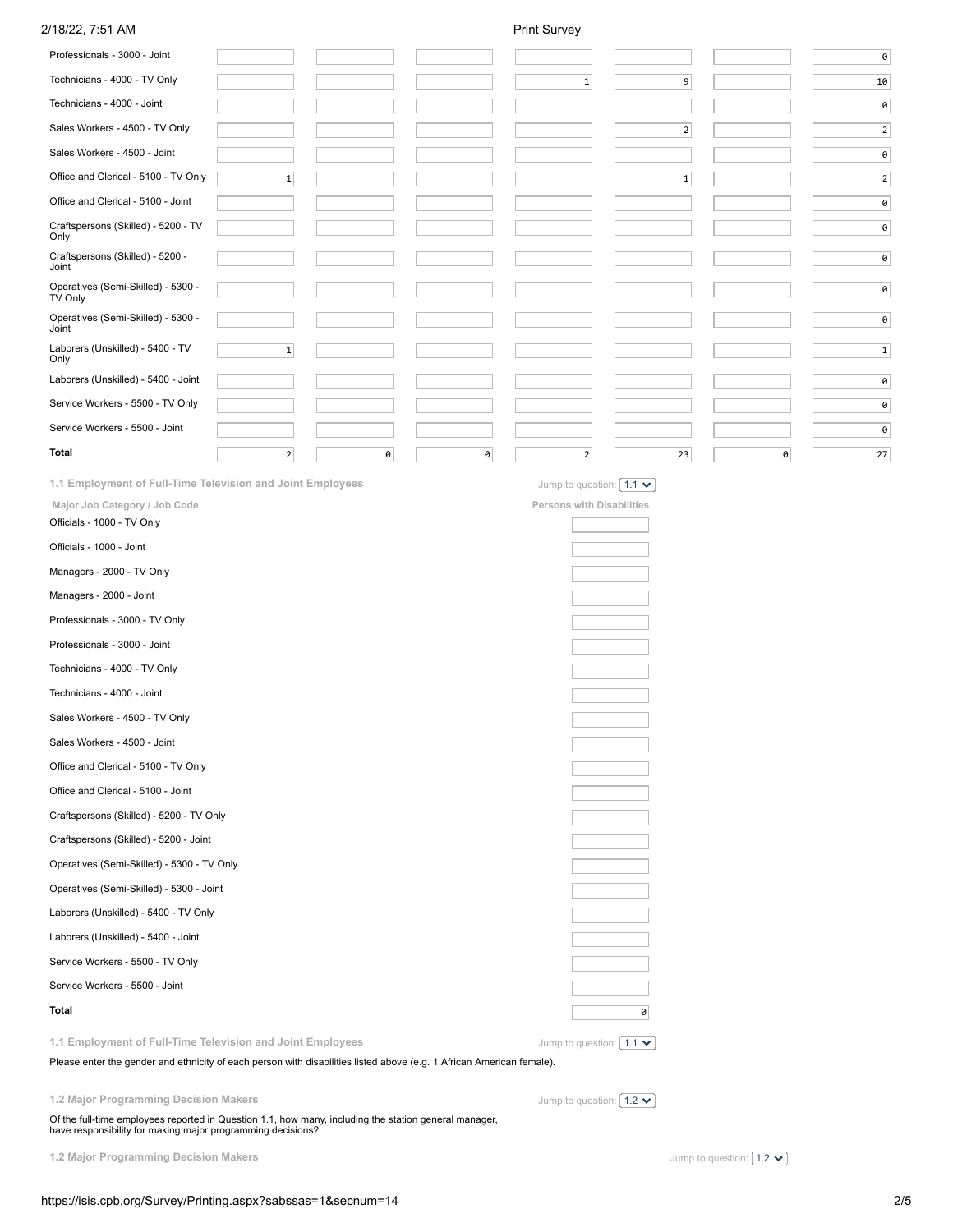| 2/18/22, 7:51 AM                                                                                                                                                     |             |   |          | Print Survey |                           |                                                     |   |  |                |
|----------------------------------------------------------------------------------------------------------------------------------------------------------------------|-------------|---|----------|--------------|---------------------------|-----------------------------------------------------|---|--|----------------|
| Professionals - 3000 - Joint                                                                                                                                         |             |   |          |              |                           |                                                     |   |  | 0              |
| Technicians - 4000 - TV Only                                                                                                                                         |             |   |          |              | $\mathbf{1}$              | 9                                                   |   |  | 10             |
| Technicians - 4000 - Joint                                                                                                                                           |             |   |          |              |                           |                                                     |   |  | 0              |
| Sales Workers - 4500 - TV Only                                                                                                                                       |             |   |          |              |                           | 2                                                   |   |  | $\overline{2}$ |
| Sales Workers - 4500 - Joint                                                                                                                                         |             |   |          |              |                           |                                                     |   |  | 0              |
| Office and Clerical - 5100 - TV Only                                                                                                                                 | $1\vert$    |   |          |              |                           | $\mathbf 1$                                         |   |  | $\overline{2}$ |
| Office and Clerical - 5100 - Joint                                                                                                                                   |             |   |          |              |                           |                                                     |   |  | 0              |
| Craftspersons (Skilled) - 5200 - TV<br>Only                                                                                                                          |             |   |          |              |                           |                                                     |   |  | $\theta$       |
| Craftspersons (Skilled) - 5200 -<br>Joint                                                                                                                            |             |   |          |              |                           |                                                     |   |  | 0              |
| Operatives (Semi-Skilled) - 5300 -<br>TV Only                                                                                                                        |             |   |          |              |                           |                                                     |   |  | 0              |
| Operatives (Semi-Skilled) - 5300 -<br>Joint                                                                                                                          |             |   |          |              |                           |                                                     |   |  | 0              |
| Laborers (Unskilled) - 5400 - TV<br>Only                                                                                                                             | $\mathbf 1$ |   |          |              |                           |                                                     |   |  | $\mathbf{1}$   |
| Laborers (Unskilled) - 5400 - Joint                                                                                                                                  |             |   |          |              |                           |                                                     |   |  | 0              |
| Service Workers - 5500 - TV Only                                                                                                                                     |             |   |          |              |                           |                                                     |   |  | 0              |
| Service Workers - 5500 - Joint                                                                                                                                       |             |   |          |              |                           |                                                     |   |  | 0              |
| <b>Total</b>                                                                                                                                                         | 2           | 0 | $\theta$ |              | $\overline{2}$            | 23                                                  | 0 |  | 27             |
| 1.1 Employment of Full-Time Television and Joint Employees                                                                                                           |             |   |          |              |                           | Jump to question: $1.1 \times$                      |   |  |                |
| Major Job Category / Job Code                                                                                                                                        |             |   |          |              | Persons with Disabilities |                                                     |   |  |                |
| Officials - 1000 - TV Only                                                                                                                                           |             |   |          |              |                           |                                                     |   |  |                |
| Officials - 1000 - Joint                                                                                                                                             |             |   |          |              |                           |                                                     |   |  |                |
| Managers - 2000 - TV Only                                                                                                                                            |             |   |          |              |                           |                                                     |   |  |                |
| Managers - 2000 - Joint                                                                                                                                              |             |   |          |              |                           |                                                     |   |  |                |
| Professionals - 3000 - TV Only                                                                                                                                       |             |   |          |              |                           |                                                     |   |  |                |
| Professionals - 3000 - Joint                                                                                                                                         |             |   |          |              |                           |                                                     |   |  |                |
| Technicians - 4000 - TV Only                                                                                                                                         |             |   |          |              |                           |                                                     |   |  |                |
| Technicians - 4000 - Joint                                                                                                                                           |             |   |          |              |                           |                                                     |   |  |                |
| Sales Workers - 4500 - TV Only                                                                                                                                       |             |   |          |              |                           |                                                     |   |  |                |
| Sales Workers - 4500 - Joint                                                                                                                                         |             |   |          |              |                           |                                                     |   |  |                |
| Office and Clerical - 5100 - TV Only                                                                                                                                 |             |   |          |              |                           |                                                     |   |  |                |
| Office and Clerical - 5100 - Joint                                                                                                                                   |             |   |          |              |                           |                                                     |   |  |                |
| Craftspersons (Skilled) - 5200 - TV Only                                                                                                                             |             |   |          |              |                           |                                                     |   |  |                |
| Craftspersons (Skilled) - 5200 - Joint                                                                                                                               |             |   |          |              |                           |                                                     |   |  |                |
| Operatives (Semi-Skilled) - 5300 - TV Only                                                                                                                           |             |   |          |              |                           |                                                     |   |  |                |
| Operatives (Semi-Skilled) - 5300 - Joint                                                                                                                             |             |   |          |              |                           |                                                     |   |  |                |
| Laborers (Unskilled) - 5400 - TV Only                                                                                                                                |             |   |          |              |                           |                                                     |   |  |                |
| Laborers (Unskilled) - 5400 - Joint                                                                                                                                  |             |   |          |              |                           |                                                     |   |  |                |
| Service Workers - 5500 - TV Only                                                                                                                                     |             |   |          |              |                           |                                                     |   |  |                |
| Service Workers - 5500 - Joint                                                                                                                                       |             |   |          |              |                           |                                                     |   |  |                |
| Total                                                                                                                                                                |             |   |          |              |                           | 0                                                   |   |  |                |
| 1.1 Employment of Full-Time Television and Joint Employees                                                                                                           |             |   |          |              |                           | Jump to question: $\vert$ 1.1 $\blacktriangleright$ |   |  |                |
| Please enter the gender and ethnicity of each person with disabilities listed above (e.g. 1 African American female).                                                |             |   |          |              |                           |                                                     |   |  |                |
| 1.2 Major Programming Decision Makers                                                                                                                                |             |   |          |              |                           | Jump to question: $\mid$ 1.2 $\blacktriangleright$  |   |  |                |
| Of the full-time employees reported in Question 1.1, how many, including the station general manager,<br>have responsibility for making major programming decisions? |             |   |          |              |                           |                                                     |   |  |                |
|                                                                                                                                                                      |             |   |          |              |                           |                                                     |   |  |                |

**1.2 Major Programming Decision Makers**

Jump to question:  $\boxed{1.2 \times}$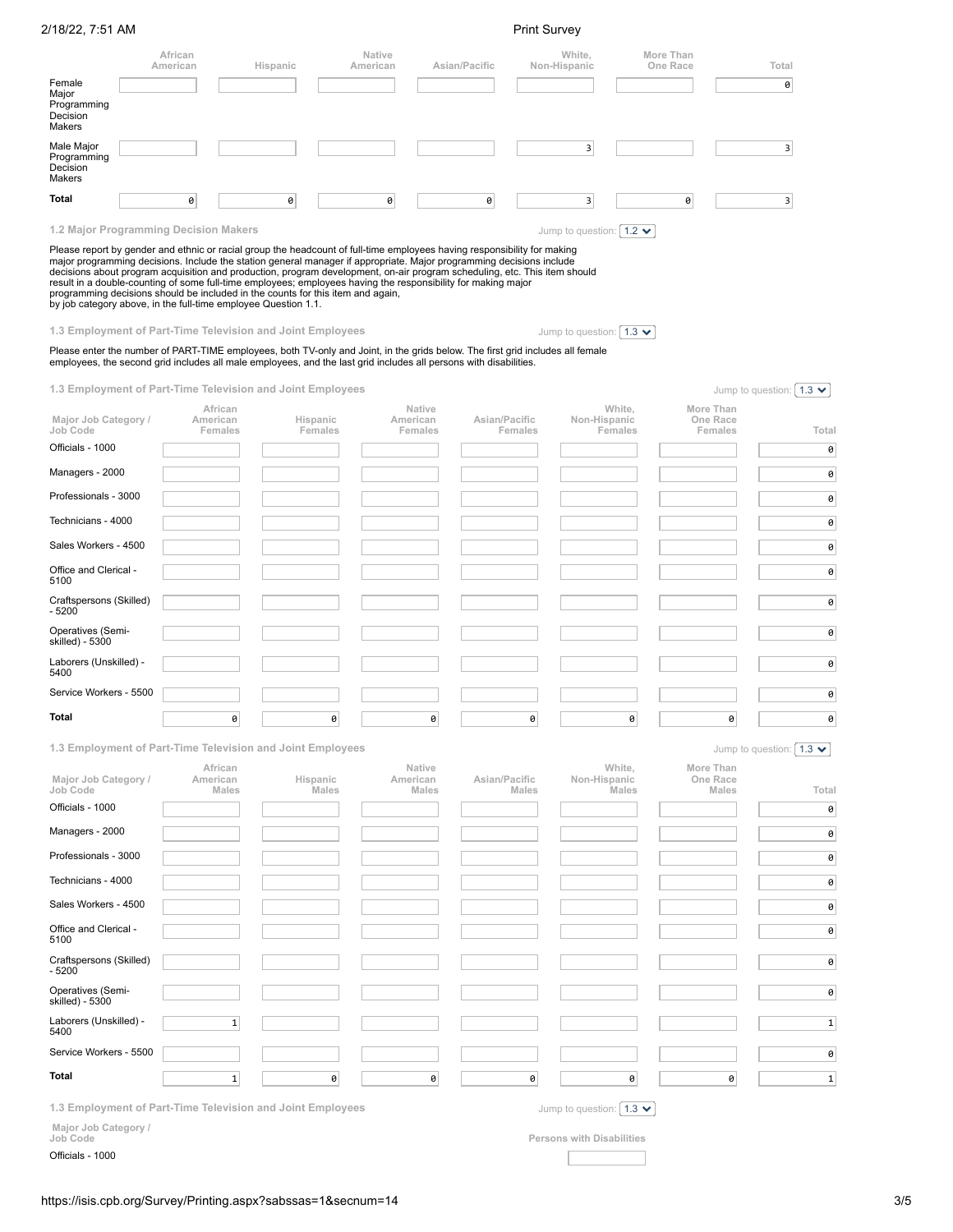| <b>Print Survey</b> |
|---------------------|
|                     |
|                     |

| 2/18/22, 7:51 AM                                                                                        |                     |                                |                                                                                 |                                                                                                                                                                                                                                                                                                                                                                                                                                                                                                |                          | <b>Print Survey</b>                                                             |                                   |                                       |                                                     |              |
|---------------------------------------------------------------------------------------------------------|---------------------|--------------------------------|---------------------------------------------------------------------------------|------------------------------------------------------------------------------------------------------------------------------------------------------------------------------------------------------------------------------------------------------------------------------------------------------------------------------------------------------------------------------------------------------------------------------------------------------------------------------------------------|--------------------------|---------------------------------------------------------------------------------|-----------------------------------|---------------------------------------|-----------------------------------------------------|--------------|
|                                                                                                         | African<br>American |                                | Hispanic                                                                        | Native<br>American                                                                                                                                                                                                                                                                                                                                                                                                                                                                             | Asian/Pacific            | White,<br>Non-Hispanic                                                          |                                   | More Than<br>One Race                 | Total                                               |              |
| Female<br>Major<br>Programming<br>Decision<br>Makers                                                    |                     |                                |                                                                                 |                                                                                                                                                                                                                                                                                                                                                                                                                                                                                                |                          |                                                                                 |                                   |                                       | 0                                                   |              |
| Male Major<br>Programming<br>Decision<br><b>Makers</b>                                                  |                     |                                |                                                                                 |                                                                                                                                                                                                                                                                                                                                                                                                                                                                                                |                          | $\overline{\mathbf{3}}$                                                         |                                   |                                       | 3                                                   |              |
| Total                                                                                                   | 0                   |                                | 0                                                                               | 0                                                                                                                                                                                                                                                                                                                                                                                                                                                                                              | $\theta$                 | $\mathbf{3}$                                                                    |                                   | 0                                     | 3                                                   |              |
| 1.2 Major Programming Decision Makers<br>by job category above, in the full-time employee Question 1.1. |                     |                                | programming decisions should be included in the counts for this item and again, | Please report by gender and ethnic or racial group the headcount of full-time employees having responsibility for making<br>major programming decisions. Include the station general manager if appropriate. Major programming decisions include<br>decisions about program acquisition and production, program development, on-air program scheduling, etc. This item should<br>result in a double-counting of some full-time employees; employees having the responsibility for making major |                          | Jump to question: $\vert$ 1.2 $\blacktriangleright$                             |                                   |                                       |                                                     |              |
|                                                                                                         |                     |                                | 1.3 Employment of Part-Time Television and Joint Employees                      |                                                                                                                                                                                                                                                                                                                                                                                                                                                                                                |                          | Jump to question: $\mid$ 1.3 $\blacktriangleright$                              |                                   |                                       |                                                     |              |
|                                                                                                         |                     |                                |                                                                                 | Please enter the number of PART-TIME employees, both TV-only and Joint, in the grids below. The first grid includes all female<br>employees, the second grid includes all male employees, and the last grid includes all persons with disabilities.                                                                                                                                                                                                                                            |                          |                                                                                 |                                   |                                       |                                                     |              |
|                                                                                                         |                     |                                | 1.3 Employment of Part-Time Television and Joint Employees                      |                                                                                                                                                                                                                                                                                                                                                                                                                                                                                                |                          |                                                                                 |                                   |                                       | Jump to question: $\vert$ 1.3 $\blacktriangleright$ |              |
| Major Job Category /<br>Job Code                                                                        |                     | African<br>American<br>Females | Hispanic<br>Females                                                             | Native<br>American<br>Females                                                                                                                                                                                                                                                                                                                                                                                                                                                                  | Asian/Pacific<br>Females |                                                                                 | White,<br>Non-Hispanic<br>Females | More Than<br>One Race<br>Females      | Total                                               |              |
| Officials - 1000                                                                                        |                     |                                |                                                                                 |                                                                                                                                                                                                                                                                                                                                                                                                                                                                                                |                          |                                                                                 |                                   |                                       |                                                     | 0            |
| Managers - 2000                                                                                         |                     |                                |                                                                                 |                                                                                                                                                                                                                                                                                                                                                                                                                                                                                                |                          |                                                                                 |                                   |                                       |                                                     | 0            |
| Professionals - 3000                                                                                    |                     |                                |                                                                                 |                                                                                                                                                                                                                                                                                                                                                                                                                                                                                                |                          |                                                                                 |                                   |                                       |                                                     | 0            |
| Technicians - 4000                                                                                      |                     |                                |                                                                                 |                                                                                                                                                                                                                                                                                                                                                                                                                                                                                                |                          |                                                                                 |                                   |                                       |                                                     | 0            |
| Sales Workers - 4500                                                                                    |                     |                                |                                                                                 |                                                                                                                                                                                                                                                                                                                                                                                                                                                                                                |                          |                                                                                 |                                   |                                       |                                                     | 0            |
| Office and Clerical -<br>5100                                                                           |                     |                                |                                                                                 |                                                                                                                                                                                                                                                                                                                                                                                                                                                                                                |                          |                                                                                 |                                   |                                       |                                                     | 0            |
| Craftspersons (Skilled)<br>$-5200$                                                                      |                     |                                |                                                                                 |                                                                                                                                                                                                                                                                                                                                                                                                                                                                                                |                          |                                                                                 |                                   |                                       |                                                     | 0            |
| Operatives (Semi-<br>skilled) - 5300                                                                    |                     |                                |                                                                                 |                                                                                                                                                                                                                                                                                                                                                                                                                                                                                                |                          |                                                                                 |                                   |                                       |                                                     | 0            |
| Laborers (Unskilled) -<br>5400                                                                          |                     |                                |                                                                                 |                                                                                                                                                                                                                                                                                                                                                                                                                                                                                                |                          |                                                                                 |                                   |                                       |                                                     | 0            |
| Service Workers - 5500                                                                                  |                     |                                |                                                                                 |                                                                                                                                                                                                                                                                                                                                                                                                                                                                                                |                          |                                                                                 |                                   |                                       |                                                     | 0            |
| Total                                                                                                   |                     | 0                              | 0                                                                               | 0                                                                                                                                                                                                                                                                                                                                                                                                                                                                                              |                          | 0                                                                               | 0                                 |                                       | 0                                                   | 0            |
|                                                                                                         |                     |                                | 1.3 Employment of Part-Time Television and Joint Employees                      |                                                                                                                                                                                                                                                                                                                                                                                                                                                                                                |                          |                                                                                 |                                   |                                       | Jump to question: $ 1.3 \times$                     |              |
| Major Job Category /<br>Job Code                                                                        |                     | African<br>American<br>Males   | Hispanic<br>Males                                                               | Native<br>American<br><b>Males</b>                                                                                                                                                                                                                                                                                                                                                                                                                                                             | Asian/Pacific<br>Males   |                                                                                 | White,<br>Non-Hispanic<br>Males   | More Than<br>One Race<br><b>Males</b> | Total                                               |              |
| Officials - 1000                                                                                        |                     |                                |                                                                                 |                                                                                                                                                                                                                                                                                                                                                                                                                                                                                                |                          |                                                                                 |                                   |                                       |                                                     | 0            |
| Managers - 2000                                                                                         |                     |                                |                                                                                 |                                                                                                                                                                                                                                                                                                                                                                                                                                                                                                |                          |                                                                                 |                                   |                                       |                                                     | 0            |
| Professionals - 3000                                                                                    |                     |                                |                                                                                 |                                                                                                                                                                                                                                                                                                                                                                                                                                                                                                |                          |                                                                                 |                                   |                                       |                                                     | 0            |
| Technicians - 4000                                                                                      |                     |                                |                                                                                 |                                                                                                                                                                                                                                                                                                                                                                                                                                                                                                |                          |                                                                                 |                                   |                                       |                                                     | 0            |
| Sales Workers - 4500                                                                                    |                     |                                |                                                                                 |                                                                                                                                                                                                                                                                                                                                                                                                                                                                                                |                          |                                                                                 |                                   |                                       |                                                     | 0            |
| Office and Clerical -<br>5100                                                                           |                     |                                |                                                                                 |                                                                                                                                                                                                                                                                                                                                                                                                                                                                                                |                          |                                                                                 |                                   |                                       |                                                     | 0            |
| Craftspersons (Skilled)<br>$-5200$                                                                      |                     |                                |                                                                                 |                                                                                                                                                                                                                                                                                                                                                                                                                                                                                                |                          |                                                                                 |                                   |                                       |                                                     | 0            |
| Operatives (Semi-<br>skilled) - 5300                                                                    |                     |                                |                                                                                 |                                                                                                                                                                                                                                                                                                                                                                                                                                                                                                |                          |                                                                                 |                                   |                                       |                                                     | 0            |
| Laborers (Unskilled) -<br>5400                                                                          |                     | $\mathbf{1}$                   |                                                                                 |                                                                                                                                                                                                                                                                                                                                                                                                                                                                                                |                          |                                                                                 |                                   |                                       |                                                     | $\mathbf 1$  |
| Service Workers - 5500                                                                                  |                     |                                |                                                                                 |                                                                                                                                                                                                                                                                                                                                                                                                                                                                                                |                          |                                                                                 |                                   |                                       |                                                     | 0            |
| Total                                                                                                   |                     | $\mathbf{1}$                   | 0                                                                               | 0                                                                                                                                                                                                                                                                                                                                                                                                                                                                                              |                          | 0                                                                               | 0                                 |                                       | 0                                                   | $\mathbf{1}$ |
| Major Job Category /<br>Job Code<br>Officials - 1000                                                    |                     |                                | 1.3 Employment of Part-Time Television and Joint Employees                      |                                                                                                                                                                                                                                                                                                                                                                                                                                                                                                |                          | Jump to question: $\mid$ 1.3 $\blacktriangleright$<br>Persons with Disabilities |                                   |                                       |                                                     |              |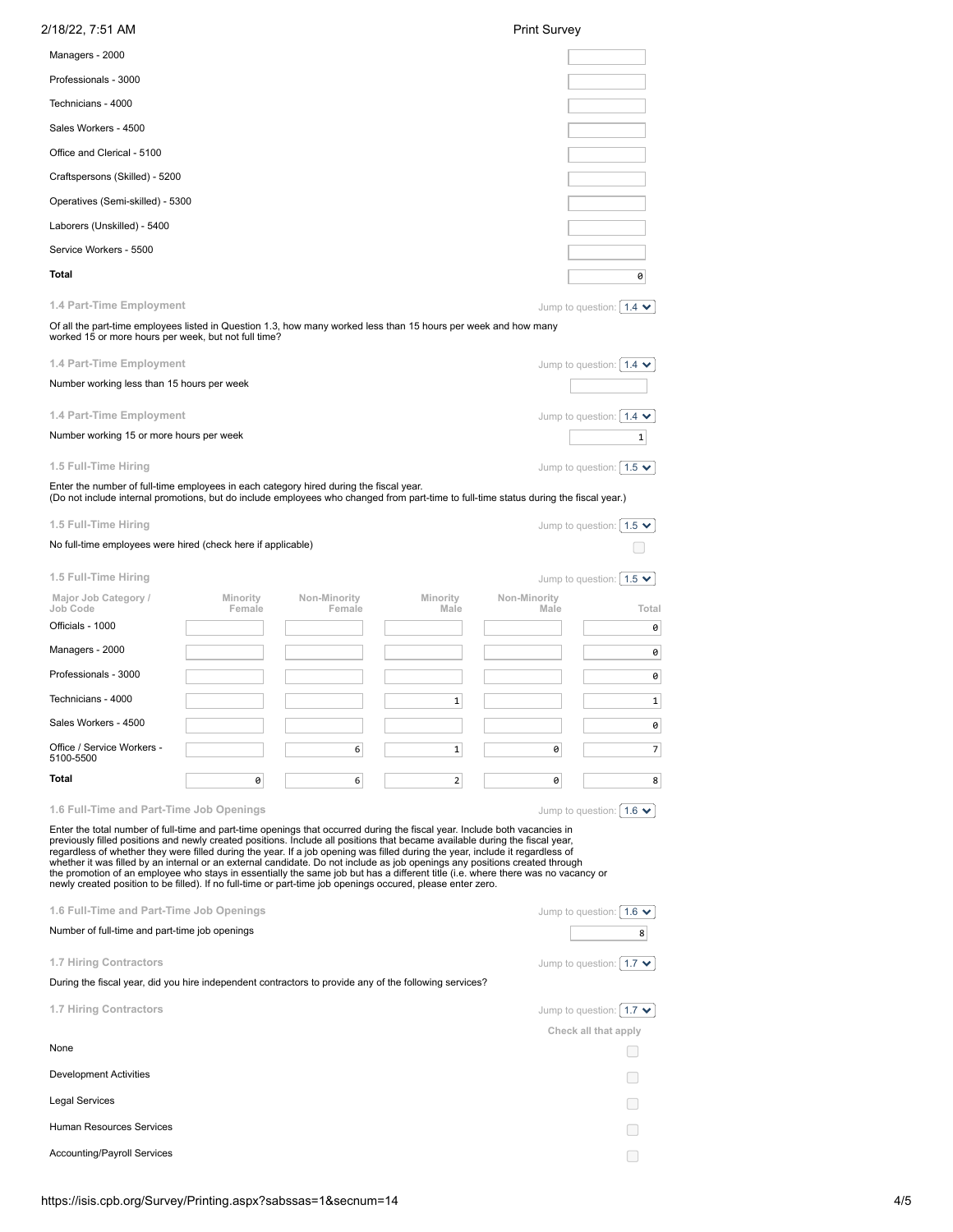| 2/18/22, 7:51 AM                                                                                                                                                                                                                                                                                                                                                                                                                                                                                                                                                                                                                                                                                                                                                              |          |              |                | <b>Print Survey</b> |                                                     |
|-------------------------------------------------------------------------------------------------------------------------------------------------------------------------------------------------------------------------------------------------------------------------------------------------------------------------------------------------------------------------------------------------------------------------------------------------------------------------------------------------------------------------------------------------------------------------------------------------------------------------------------------------------------------------------------------------------------------------------------------------------------------------------|----------|--------------|----------------|---------------------|-----------------------------------------------------|
| Managers - 2000                                                                                                                                                                                                                                                                                                                                                                                                                                                                                                                                                                                                                                                                                                                                                               |          |              |                |                     |                                                     |
| Professionals - 3000                                                                                                                                                                                                                                                                                                                                                                                                                                                                                                                                                                                                                                                                                                                                                          |          |              |                |                     |                                                     |
| Technicians - 4000                                                                                                                                                                                                                                                                                                                                                                                                                                                                                                                                                                                                                                                                                                                                                            |          |              |                |                     |                                                     |
| Sales Workers - 4500                                                                                                                                                                                                                                                                                                                                                                                                                                                                                                                                                                                                                                                                                                                                                          |          |              |                |                     |                                                     |
| Office and Clerical - 5100                                                                                                                                                                                                                                                                                                                                                                                                                                                                                                                                                                                                                                                                                                                                                    |          |              |                |                     |                                                     |
| Craftspersons (Skilled) - 5200                                                                                                                                                                                                                                                                                                                                                                                                                                                                                                                                                                                                                                                                                                                                                |          |              |                |                     |                                                     |
| Operatives (Semi-skilled) - 5300                                                                                                                                                                                                                                                                                                                                                                                                                                                                                                                                                                                                                                                                                                                                              |          |              |                |                     |                                                     |
| Laborers (Unskilled) - 5400                                                                                                                                                                                                                                                                                                                                                                                                                                                                                                                                                                                                                                                                                                                                                   |          |              |                |                     |                                                     |
| Service Workers - 5500                                                                                                                                                                                                                                                                                                                                                                                                                                                                                                                                                                                                                                                                                                                                                        |          |              |                |                     |                                                     |
| <b>Total</b>                                                                                                                                                                                                                                                                                                                                                                                                                                                                                                                                                                                                                                                                                                                                                                  |          |              |                |                     | 0                                                   |
|                                                                                                                                                                                                                                                                                                                                                                                                                                                                                                                                                                                                                                                                                                                                                                               |          |              |                |                     |                                                     |
| 1.4 Part-Time Employment<br>Of all the part-time employees listed in Question 1.3, how many worked less than 15 hours per week and how many<br>worked 15 or more hours per week, but not full time?                                                                                                                                                                                                                                                                                                                                                                                                                                                                                                                                                                           |          |              |                |                     | Jump to question: $\vert$ 1.4 $\blacktriangleright$ |
|                                                                                                                                                                                                                                                                                                                                                                                                                                                                                                                                                                                                                                                                                                                                                                               |          |              |                |                     |                                                     |
| 1.4 Part-Time Employment<br>Number working less than 15 hours per week                                                                                                                                                                                                                                                                                                                                                                                                                                                                                                                                                                                                                                                                                                        |          |              |                |                     | Jump to question: $\vert$ 1.4 $\blacktriangleright$ |
|                                                                                                                                                                                                                                                                                                                                                                                                                                                                                                                                                                                                                                                                                                                                                                               |          |              |                |                     |                                                     |
| 1.4 Part-Time Employment                                                                                                                                                                                                                                                                                                                                                                                                                                                                                                                                                                                                                                                                                                                                                      |          |              |                |                     | Jump to question: $1.4 \times$                      |
| Number working 15 or more hours per week                                                                                                                                                                                                                                                                                                                                                                                                                                                                                                                                                                                                                                                                                                                                      |          |              |                |                     | 1                                                   |
| 1.5 Full-Time Hiring                                                                                                                                                                                                                                                                                                                                                                                                                                                                                                                                                                                                                                                                                                                                                          |          |              |                |                     | Jump to question: $\vert$ 1.5 $\blacktriangleright$ |
| Enter the number of full-time employees in each category hired during the fiscal year.<br>(Do not include internal promotions, but do include employees who changed from part-time to full-time status during the fiscal year.)                                                                                                                                                                                                                                                                                                                                                                                                                                                                                                                                               |          |              |                |                     |                                                     |
| 1.5 Full-Time Hiring                                                                                                                                                                                                                                                                                                                                                                                                                                                                                                                                                                                                                                                                                                                                                          |          |              |                |                     | Jump to question: $1.5 \times$                      |
| No full-time employees were hired (check here if applicable)                                                                                                                                                                                                                                                                                                                                                                                                                                                                                                                                                                                                                                                                                                                  |          |              |                |                     |                                                     |
| 1.5 Full-Time Hiring                                                                                                                                                                                                                                                                                                                                                                                                                                                                                                                                                                                                                                                                                                                                                          |          |              |                |                     | Jump to question: $\vert$ 1.5 $\blacktriangleright$ |
| Major Job Category /                                                                                                                                                                                                                                                                                                                                                                                                                                                                                                                                                                                                                                                                                                                                                          | Minority | Non-Minority | Minority       | Non-Minority        |                                                     |
| Job Code<br>Officials - 1000                                                                                                                                                                                                                                                                                                                                                                                                                                                                                                                                                                                                                                                                                                                                                  | Female   | Female       | Male           | Male                | Total<br>0                                          |
| Managers - 2000                                                                                                                                                                                                                                                                                                                                                                                                                                                                                                                                                                                                                                                                                                                                                               |          |              |                |                     |                                                     |
| Professionals - 3000                                                                                                                                                                                                                                                                                                                                                                                                                                                                                                                                                                                                                                                                                                                                                          |          |              |                |                     | 0                                                   |
|                                                                                                                                                                                                                                                                                                                                                                                                                                                                                                                                                                                                                                                                                                                                                                               |          |              |                |                     | 0                                                   |
| Technicians - 4000                                                                                                                                                                                                                                                                                                                                                                                                                                                                                                                                                                                                                                                                                                                                                            |          |              | $\mathbf 1$    |                     | 1                                                   |
| Sales Workers - 4500                                                                                                                                                                                                                                                                                                                                                                                                                                                                                                                                                                                                                                                                                                                                                          |          |              |                |                     | 0                                                   |
| Office / Service Workers -<br>5100-5500                                                                                                                                                                                                                                                                                                                                                                                                                                                                                                                                                                                                                                                                                                                                       |          | 6            | 1              | 0                   | 7                                                   |
| Total                                                                                                                                                                                                                                                                                                                                                                                                                                                                                                                                                                                                                                                                                                                                                                         | 0        | 6            | $\overline{2}$ | 0                   | 8                                                   |
| 1.6 Full-Time and Part-Time Job Openings                                                                                                                                                                                                                                                                                                                                                                                                                                                                                                                                                                                                                                                                                                                                      |          |              |                |                     | Jump to question: $1.6 \times$                      |
| Enter the total number of full-time and part-time openings that occurred during the fiscal year. Include both vacancies in<br>previously filled positions and newly created positions. Include all positions that became available during the fiscal year,<br>regardless of whether they were filled during the year. If a job opening was filled during the year, include it regardless of<br>whether it was filled by an internal or an external candidate. Do not include as job openings any positions created through<br>the promotion of an employee who stays in essentially the same job but has a different title (i.e. where there was no vacancy or<br>newly created position to be filled). If no full-time or part-time job openings occured, please enter zero. |          |              |                |                     |                                                     |
| 1.6 Full-Time and Part-Time Job Openings                                                                                                                                                                                                                                                                                                                                                                                                                                                                                                                                                                                                                                                                                                                                      |          |              |                |                     | Jump to question: $ 1.6 \times$                     |
| Number of full-time and part-time job openings                                                                                                                                                                                                                                                                                                                                                                                                                                                                                                                                                                                                                                                                                                                                |          |              |                |                     | 8                                                   |
| 1.7 Hiring Contractors                                                                                                                                                                                                                                                                                                                                                                                                                                                                                                                                                                                                                                                                                                                                                        |          |              |                |                     | Jump to question: $\mid$ 1.7 $\blacktriangleright$  |
| During the fiscal year, did you hire independent contractors to provide any of the following services?                                                                                                                                                                                                                                                                                                                                                                                                                                                                                                                                                                                                                                                                        |          |              |                |                     |                                                     |
| 1.7 Hiring Contractors                                                                                                                                                                                                                                                                                                                                                                                                                                                                                                                                                                                                                                                                                                                                                        |          |              |                |                     | Jump to question: $\mid$ 1.7 $\blacktriangleright$  |
|                                                                                                                                                                                                                                                                                                                                                                                                                                                                                                                                                                                                                                                                                                                                                                               |          |              |                |                     | Check all that apply                                |
| None                                                                                                                                                                                                                                                                                                                                                                                                                                                                                                                                                                                                                                                                                                                                                                          |          |              |                |                     |                                                     |

|                                    | ------- |
|------------------------------------|---------|
| None                               |         |
| <b>Development Activities</b>      |         |
| <b>Legal Services</b>              |         |
| <b>Human Resources Services</b>    |         |
| <b>Accounting/Payroll Services</b> |         |

 $\hfill \square$  $\hfill \square$  $\hfill \square$  $\hfill \square$